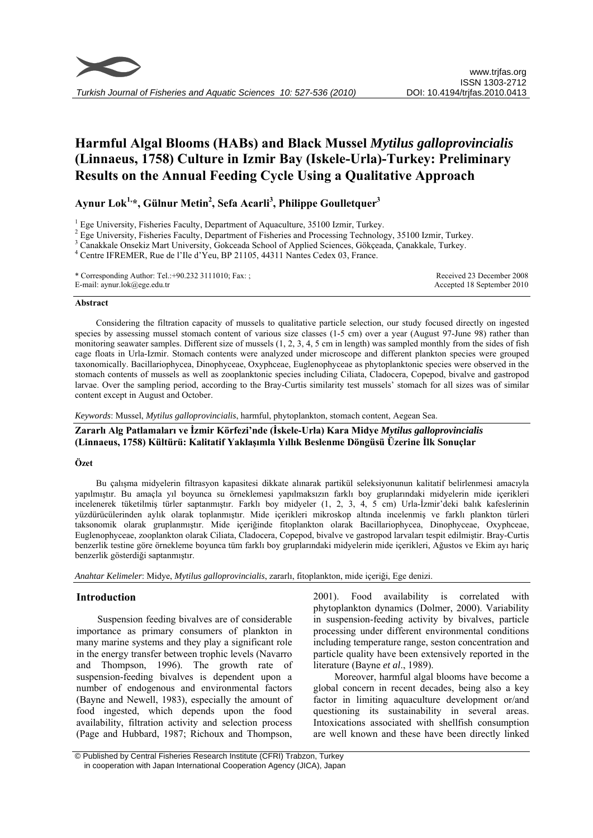

# **Harmful Algal Blooms (HABs) and Black Mussel** *Mytilus galloprovincialis* **(Linnaeus, 1758) Culture in Izmir Bay (Iskele-Urla)-Turkey: Preliminary Results on the Annual Feeding Cycle Using a Qualitative Approach**

# **Aynur Lok1,\*, Gülnur Metin2 , Sefa Acarli3 , Philippe Goulletquer3**

 $\frac{1}{2}$  Ege University, Fisheries Faculty, Department of Aquaculture, 35100 Izmir, Turkey.

<sup>2</sup> Ege University, Fisheries Faculty, Department of Fisheries and Processing Technology, 35100 Izmir, Turkey.

<sup>3</sup> Canakkale Onsekiz Mart University, Gokceada School of Applied Sciences, Gökçeada, Çanakkale, Turkey.

Centre IFREMER, Rue de l'Ile d'Yeu, BP 21105, 44311 Nantes Cedex 03, France.

\* Corresponding Author: Tel.:+90.232 3111010; Fax: ; E-mail: aynur.lok@ege.edu.tr Received 23 December 2008 Accepted 18 September 2010

#### **Abstract**

Considering the filtration capacity of mussels to qualitative particle selection, our study focused directly on ingested species by assessing mussel stomach content of various size classes (1-5 cm) over a year (August 97-June 98) rather than monitoring seawater samples. Different size of mussels (1, 2, 3, 4, 5 cm in length) was sampled monthly from the sides of fish cage floats in Urla-Izmir. Stomach contents were analyzed under microscope and different plankton species were grouped taxonomically. Bacillariophycea, Dinophyceae, Oxyphceae, Euglenophyceae as phytoplanktonic species were observed in the stomach contents of mussels as well as zooplanktonic species including Ciliata, Cladocera, Copepod, bivalve and gastropod larvae. Over the sampling period, according to the Bray-Curtis similarity test mussels' stomach for all sizes was of similar content except in August and October.

*Keywords*: Mussel, *Mytilus galloprovincialis*, harmful, phytoplankton, stomach content, Aegean Sea.

**Zararlı Alg Patlamaları ve İzmir Körfezi'nde (İskele-Urla) Kara Midye** *Mytilus galloprovincialis* **(Linnaeus, 1758) Kültürü: Kalitatif Yaklaşımla Yıllık Beslenme Döngüsü Üzerine İlk Sonuçlar** 

#### **Özet**

Bu çalışma midyelerin filtrasyon kapasitesi dikkate alınarak partikül seleksiyonunun kalitatif belirlenmesi amacıyla yapılmıştır. Bu amaçla yıl boyunca su örneklemesi yapılmaksızın farklı boy gruplarındaki midyelerin mide içerikleri incelenerek tüketilmiş türler saptanmıştır. Farklı boy midyeler (1, 2, 3, 4, 5 cm) Urla-İzmir'deki balık kafeslerinin yüzdürücülerinden aylık olarak toplanmıştır. Mide içerikleri mikroskop altında incelenmiş ve farklı plankton türleri taksonomik olarak gruplanmıştır. Mide içeriğinde fitoplankton olarak Bacillariophycea, Dinophyceae, Oxyphceae, Euglenophyceae, zooplankton olarak Ciliata, Cladocera, Copepod, bivalve ve gastropod larvaları tespit edilmiştir. Bray-Curtis benzerlik testine göre örnekleme boyunca tüm farklı boy gruplarındaki midyelerin mide içerikleri, Ağustos ve Ekim ayı hariç benzerlik gösterdiği saptanmıştır.

*Anahtar Kelimeler*: Midye, *Mytilus galloprovincialis*, zararlı, fitoplankton, mide içeriği, Ege denizi.

#### **Introduction**

Suspension feeding bivalves are of considerable importance as primary consumers of plankton in many marine systems and they play a significant role in the energy transfer between trophic levels (Navarro and Thompson, 1996). The growth rate of suspension-feeding bivalves is dependent upon a number of endogenous and environmental factors (Bayne and Newell, 1983), especially the amount of food ingested, which depends upon the food availability, filtration activity and selection process (Page and Hubbard, 1987; Richoux and Thompson,

2001). Food availability is correlated with phytoplankton dynamics (Dolmer, 2000). Variability in suspension-feeding activity by bivalves, particle processing under different environmental conditions including temperature range, seston concentration and particle quality have been extensively reported in the literature (Bayne *et al*., 1989).

Moreover, harmful algal blooms have become a global concern in recent decades, being also a key factor in limiting aquaculture development or/and questioning its sustainability in several areas. Intoxications associated with shellfish consumption are well known and these have been directly linked

 <sup>©</sup> Published by Central Fisheries Research Institute (CFRI) Trabzon, Turkey in cooperation with Japan International Cooperation Agency (JICA), Japan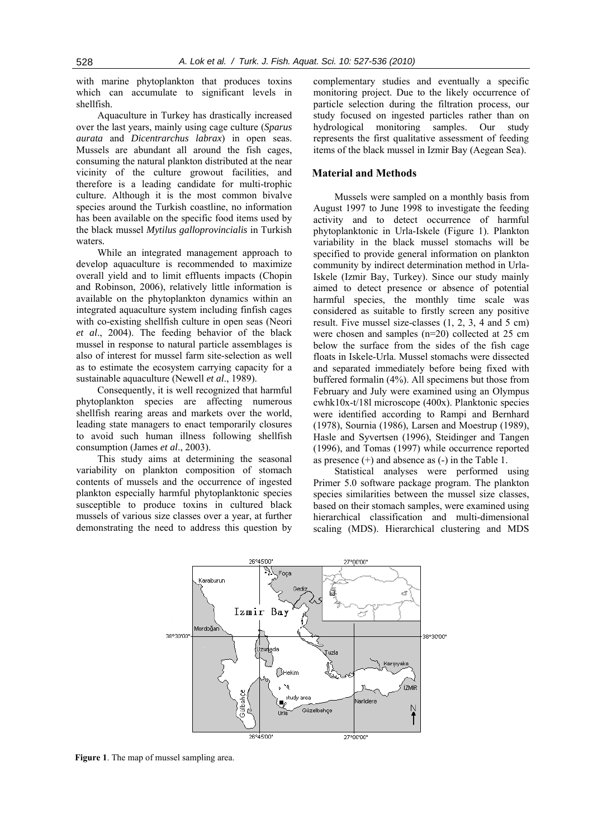with marine phytoplankton that produces toxins which can accumulate to significant levels in shellfish.

Aquaculture in Turkey has drastically increased over the last years, mainly using cage culture (*Sparus aurata* and *Dicentrarchus labrax*) in open seas. Mussels are abundant all around the fish cages, consuming the natural plankton distributed at the near vicinity of the culture growout facilities, and therefore is a leading candidate for multi-trophic culture. Although it is the most common bivalve species around the Turkish coastline, no information has been available on the specific food items used by the black mussel *Mytilus galloprovincialis* in Turkish waters*.* 

While an integrated management approach to develop aquaculture is recommended to maximize overall yield and to limit effluents impacts (Chopin and Robinson, 2006), relatively little information is available on the phytoplankton dynamics within an integrated aquaculture system including finfish cages with co-existing shellfish culture in open seas (Neori *et al*., 2004). The feeding behavior of the black mussel in response to natural particle assemblages is also of interest for mussel farm site-selection as well as to estimate the ecosystem carrying capacity for a sustainable aquaculture (Newell *et al*., 1989).

Consequently, it is well recognized that harmful phytoplankton species are affecting numerous shellfish rearing areas and markets over the world, leading state managers to enact temporarily closures to avoid such human illness following shellfish consumption (James *et al*., 2003).

This study aims at determining the seasonal variability on plankton composition of stomach contents of mussels and the occurrence of ingested plankton especially harmful phytoplanktonic species susceptible to produce toxins in cultured black mussels of various size classes over a year, at further demonstrating the need to address this question by complementary studies and eventually a specific monitoring project. Due to the likely occurrence of particle selection during the filtration process, our study focused on ingested particles rather than on hydrological monitoring samples. Our study represents the first qualitative assessment of feeding items of the black mussel in Izmir Bay (Aegean Sea).

## **Material and Methods**

Mussels were sampled on a monthly basis from August 1997 to June 1998 to investigate the feeding activity and to detect occurrence of harmful phytoplanktonic in Urla-Iskele (Figure 1). Plankton variability in the black mussel stomachs will be specified to provide general information on plankton community by indirect determination method in Urla-Iskele (Izmir Bay, Turkey). Since our study mainly aimed to detect presence or absence of potential harmful species, the monthly time scale was considered as suitable to firstly screen any positive result. Five mussel size-classes (1, 2, 3, 4 and 5 cm) were chosen and samples (n=20) collected at 25 cm below the surface from the sides of the fish cage floats in Iskele-Urla. Mussel stomachs were dissected and separated immediately before being fixed with buffered formalin (4%). All specimens but those from February and July were examined using an Olympus cwhk10x-t/18l microscope (400x). Planktonic species were identified according to Rampi and Bernhard (1978), Sournia (1986), Larsen and Moestrup (1989), Hasle and Syvertsen (1996), Steidinger and Tangen (1996), and Tomas (1997) while occurrence reported as presence  $(+)$  and absence as  $(-)$  in the Table 1.

Statistical analyses were performed using Primer 5.0 software package program. The plankton species similarities between the mussel size classes, based on their stomach samples, were examined using hierarchical classification and multi-dimensional scaling (MDS). Hierarchical clustering and MDS



**Figure 1**. The map of mussel sampling area.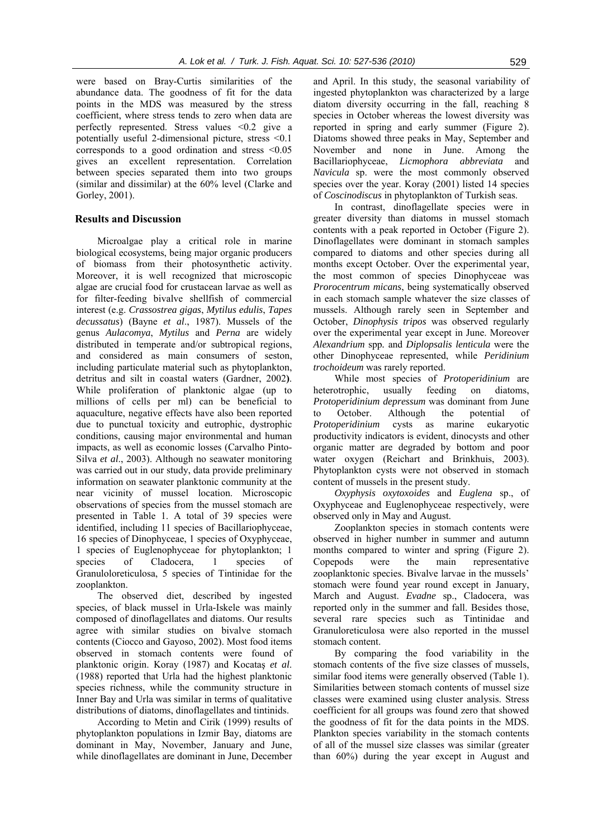were based on Bray-Curtis similarities of the abundance data. The goodness of fit for the data points in the MDS was measured by the stress coefficient, where stress tends to zero when data are perfectly represented. Stress values <0.2 give a potentially useful 2-dimensional picture, stress <0.1 corresponds to a good ordination and stress <0.05 gives an excellent representation. Correlation between species separated them into two groups (similar and dissimilar) at the 60% level (Clarke and Gorley, 2001).

#### **Results and Discussion**

Microalgae play a critical role in marine biological ecosystems, being major organic producers of biomass from their photosynthetic activity. Moreover, it is well recognized that microscopic algae are crucial food for crustacean larvae as well as for filter-feeding bivalve shellfish of commercial interest (e.g. *Crassostrea gigas*, *Mytilus edulis*, *Tapes decussatus*) (Bayne *et al*., 1987). Mussels of the genus *Aulacomya*, *Mytilus* and *Perna* are widely distributed in temperate and/or subtropical regions, and considered as main consumers of seston, including particulate material such as phytoplankton, detritus and silt in coastal waters (Gardner, 2002**)**. While proliferation of planktonic algae (up to millions of cells per ml) can be beneficial to aquaculture, negative effects have also been reported due to punctual toxicity and eutrophic, dystrophic conditions, causing major environmental and human impacts, as well as economic losses (Carvalho Pinto-Silva *et al*., 2003). Although no seawater monitoring was carried out in our study, data provide preliminary information on seawater planktonic community at the near vicinity of mussel location. Microscopic observations of species from the mussel stomach are presented in Table 1. A total of 39 species were identified, including 11 species of Bacillariophyceae, 16 species of Dinophyceae, 1 species of Oxyphyceae, 1 species of Euglenophyceae for phytoplankton; 1 species of Cladocera, 1 species of Granuloloreticulosa, 5 species of Tintinidae for the zooplankton.

The observed diet, described by ingested species, of black mussel in Urla-Iskele was mainly composed of dinoflagellates and diatoms. Our results agree with similar studies on bivalve stomach contents (Ciocco and Gayoso, 2002). Most food items observed in stomach contents were found of planktonic origin. Koray (1987) and Kocataş *et al*. (1988) reported that Urla had the highest planktonic species richness, while the community structure in Inner Bay and Urla was similar in terms of qualitative distributions of diatoms, dinoflagellates and tintinids.

According to Metin and Cirik (1999) results of phytoplankton populations in Izmir Bay, diatoms are dominant in May, November, January and June, while dinoflagellates are dominant in June, December

and April. In this study, the seasonal variability of ingested phytoplankton was characterized by a large diatom diversity occurring in the fall, reaching 8 species in October whereas the lowest diversity was reported in spring and early summer (Figure 2). Diatoms showed three peaks in May, September and November and none in June. Among the Bacillariophyceae, *Licmophora abbreviata* and *Navicula* sp. were the most commonly observed species over the year. Koray (2001) listed 14 species of *Coscinodiscus* in phytoplankton of Turkish seas.

In contrast, dinoflagellate species were in greater diversity than diatoms in mussel stomach contents with a peak reported in October (Figure 2). Dinoflagellates were dominant in stomach samples compared to diatoms and other species during all months except October. Over the experimental year, the most common of species Dinophyceae was *Prorocentrum micans*, being systematically observed in each stomach sample whatever the size classes of mussels. Although rarely seen in September and October, *Dinophysis tripos* was observed regularly over the experimental year except in June. Moreover *Alexandrium* spp*.* and *Diplopsalis lenticula* were the other Dinophyceae represented, while *Peridinium trochoideum* was rarely reported.

While most species of *Protoperidinium* are heterotrophic, usually feeding on diatoms, *Protoperidinium depressum* was dominant from June to October. Although the potential of *Protoperidinium* cysts as marine eukaryotic productivity indicators is evident, dinocysts and other organic matter are degraded by bottom and poor water oxygen (Reichart and Brinkhuis, 2003). Phytoplankton cysts were not observed in stomach content of mussels in the present study.

*Oxyphysis oxytoxoides* and *Euglena* sp., of Oxyphyceae and Euglenophyceae respectively, were observed only in May and August.

Zooplankton species in stomach contents were observed in higher number in summer and autumn months compared to winter and spring (Figure 2). Copepods were the main representative zooplanktonic species. Bivalve larvae in the mussels' stomach were found year round except in January, March and August. *Evadne* sp., Cladocera, was reported only in the summer and fall. Besides those, several rare species such as Tintinidae and Granuloreticulosa were also reported in the mussel stomach content.

By comparing the food variability in the stomach contents of the five size classes of mussels, similar food items were generally observed (Table 1). Similarities between stomach contents of mussel size classes were examined using cluster analysis. Stress coefficient for all groups was found zero that showed the goodness of fit for the data points in the MDS. Plankton species variability in the stomach contents of all of the mussel size classes was similar (greater than 60%) during the year except in August and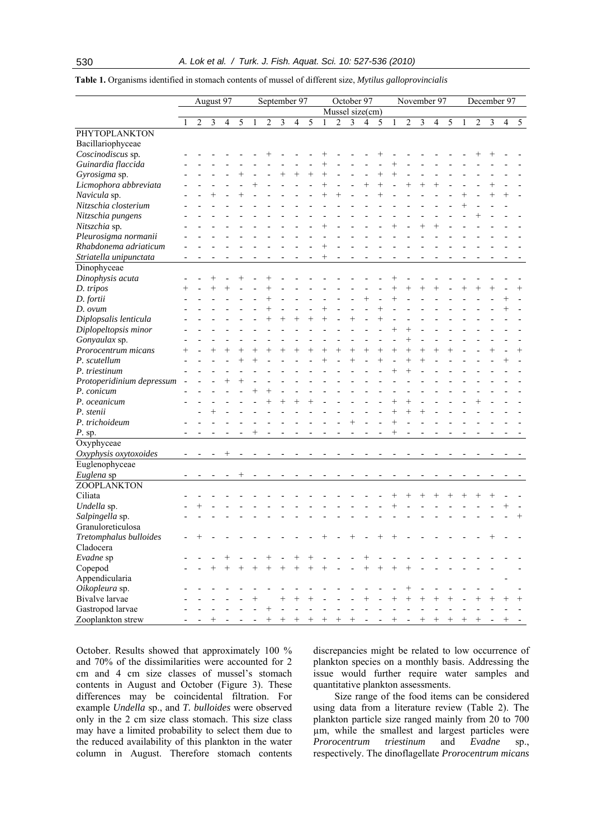|                           | September 97<br>August 97 |                |                         |                |   |              |                |                         | October 97     |        |                 |                |                         |                |        |              | November 97    |                         | December 97    |            |              |            |                         |                |            |
|---------------------------|---------------------------|----------------|-------------------------|----------------|---|--------------|----------------|-------------------------|----------------|--------|-----------------|----------------|-------------------------|----------------|--------|--------------|----------------|-------------------------|----------------|------------|--------------|------------|-------------------------|----------------|------------|
|                           |                           |                |                         |                |   |              |                |                         |                |        | Mussel size(cm) |                |                         |                |        |              |                |                         |                |            |              |            |                         |                |            |
|                           | $\,1\,$                   | $\overline{2}$ | $\overline{\mathbf{3}}$ | $\overline{4}$ | 5 | $\mathbf{1}$ | $\overline{2}$ | $\overline{\mathbf{3}}$ | $\overline{4}$ | 5      | $\mathbf{1}$    | $\overline{2}$ | $\overline{\mathbf{3}}$ | $\overline{4}$ | 5      | $\mathbf{1}$ | $\overline{2}$ | $\overline{\mathbf{3}}$ | $\overline{4}$ | $\sqrt{5}$ | $\mathbf{1}$ | $\sqrt{2}$ | $\overline{\mathbf{3}}$ | $\overline{4}$ | $\sqrt{5}$ |
| <b>PHYTOPLANKTON</b>      |                           |                |                         |                |   |              |                |                         |                |        |                 |                |                         |                |        |              |                |                         |                |            |              |            |                         |                |            |
| Bacillariophyceae         |                           |                |                         |                |   |              |                |                         |                |        |                 |                |                         |                |        |              |                |                         |                |            |              |            |                         |                |            |
| Coscinodiscus sp.         |                           |                |                         |                |   |              |                |                         |                |        |                 |                |                         |                |        |              |                |                         |                |            |              |            |                         |                |            |
| Guinardia flaccida        |                           |                |                         |                |   |              |                |                         |                |        |                 |                |                         |                |        |              |                |                         |                |            |              |            |                         |                |            |
| Gyrosigma sp.             |                           |                |                         |                |   |              |                |                         | $^{+}$         | $+$    | $^{+}$          |                |                         |                | $^{+}$ | $+$          |                |                         |                |            |              |            |                         |                |            |
| Licmophora abbreviata     |                           |                |                         |                |   |              |                |                         |                |        |                 |                |                         |                | $+$    |              | $\ddot{}$      |                         |                |            |              |            |                         |                |            |
| Navicula sp.              |                           |                |                         |                |   |              |                |                         |                |        |                 |                |                         |                |        |              |                |                         |                |            |              |            |                         |                |            |
| Nitzschia closterium      |                           |                |                         |                |   |              |                |                         |                |        |                 |                |                         |                |        |              |                |                         |                |            |              |            |                         |                |            |
| Nitzschia pungens         |                           |                |                         |                |   |              |                |                         |                |        |                 |                |                         |                |        |              |                |                         |                |            |              |            |                         |                |            |
| Nitszchia sp.             |                           |                |                         |                |   |              |                |                         |                |        |                 |                |                         |                |        |              |                |                         |                |            |              |            |                         |                |            |
| Pleurosigma normanii      |                           |                |                         |                |   |              |                |                         |                |        |                 |                |                         |                |        |              |                |                         |                |            |              |            |                         |                |            |
| Rhabdonema adriaticum     |                           |                |                         |                |   |              |                |                         |                |        |                 |                |                         |                |        |              |                |                         |                |            |              |            |                         |                |            |
| Striatella unipunctata    |                           |                |                         |                |   |              |                |                         |                |        |                 |                |                         |                |        |              |                |                         |                |            |              |            |                         |                |            |
| Dinophyceae               |                           |                |                         |                |   |              |                |                         |                |        |                 |                |                         |                |        |              |                |                         |                |            |              |            |                         |                |            |
| Dinophysis acuta          |                           |                |                         |                |   |              |                |                         |                |        |                 |                |                         |                |        |              |                |                         |                |            |              |            |                         |                |            |
| D. tripos                 |                           |                |                         |                |   |              | $^{+}$         |                         |                |        |                 |                |                         |                |        | $\ddot{}$    | $+$            |                         |                |            |              |            |                         |                |            |
| D. fortii                 |                           |                |                         |                |   |              |                |                         |                |        |                 |                |                         |                |        | $+$          |                |                         |                |            |              |            |                         |                |            |
| D. ovum                   |                           |                |                         |                |   |              |                |                         |                |        |                 |                |                         |                |        |              |                |                         |                |            |              |            |                         |                |            |
| Diplopsalis lenticula     |                           |                |                         |                |   |              |                |                         | $^{+}$         | $^{+}$ | $^{+}$          |                |                         |                |        |              |                |                         |                |            |              |            |                         |                |            |
| Diplopeltopsis minor      |                           |                |                         |                |   |              |                |                         |                |        |                 |                |                         |                |        | $^{+}$       | $^{+}$         |                         |                |            |              |            |                         |                |            |
| Gonyaulax sp.             |                           |                |                         |                |   |              |                |                         |                |        |                 |                |                         |                |        |              | $^{+}$         |                         |                |            |              |            |                         |                |            |
| Prorocentrum micans       |                           |                |                         |                |   |              |                |                         |                | $+$    | $\ddot{}$       |                |                         |                |        | $\ddot{}$    | $\overline{+}$ |                         |                |            |              |            |                         |                |            |
| P. scutellum              |                           |                |                         |                |   |              |                |                         |                |        | $\ddot{}$       |                |                         |                | $^{+}$ |              | $^{+}$         | $^{+}$                  |                |            |              |            |                         |                |            |
| P. triestinum             |                           |                |                         |                |   |              |                |                         |                |        |                 |                |                         |                |        | $^{+}$       |                |                         |                |            |              |            |                         |                |            |
| Protoperidinium depressum |                           |                |                         |                |   |              |                |                         |                |        |                 |                |                         |                |        |              |                |                         |                |            |              |            |                         |                |            |
| P. conicum                |                           |                |                         |                |   |              | $^{+}$         |                         |                |        |                 |                |                         |                |        |              |                |                         |                |            |              |            |                         |                |            |
| P. oceanicum              |                           |                |                         |                |   |              | $^{+}$         | $^{+}$                  | $^{+}$         | $^{+}$ |                 |                |                         |                |        | $^{+}$       | $^{+}$         |                         |                |            |              |            |                         |                |            |
| P. stenii                 |                           |                |                         |                |   |              |                |                         |                |        |                 |                |                         |                |        |              | $\ddot{}$      |                         |                |            |              |            |                         |                |            |
| P. trichoideum            |                           |                |                         |                |   |              |                |                         |                |        |                 |                |                         |                |        | $\ddot{}$    |                |                         |                |            |              |            |                         |                |            |
| $P.$ sp.                  |                           |                |                         |                |   |              |                |                         |                |        |                 |                |                         |                |        | $^{+}$       |                |                         |                |            |              |            |                         |                |            |
| Oxyphyceae                |                           |                |                         |                |   |              |                |                         |                |        |                 |                |                         |                |        |              |                |                         |                |            |              |            |                         |                |            |
| Oxyphysis oxytoxoides     | $\overline{\phantom{a}}$  |                |                         | $^{+}$         |   |              |                |                         |                |        |                 |                |                         |                |        |              |                |                         |                |            |              |            |                         |                |            |
| Euglenophyceae            |                           |                |                         |                |   |              |                |                         |                |        |                 |                |                         |                |        |              |                |                         |                |            |              |            |                         |                |            |
| Euglena sp                |                           |                |                         |                |   |              |                |                         |                |        |                 |                |                         |                |        |              |                |                         |                |            |              |            |                         |                |            |
| <b>ZOOPLANKTON</b>        |                           |                |                         |                |   |              |                |                         |                |        |                 |                |                         |                |        |              |                |                         |                |            |              |            |                         |                |            |
| Ciliata                   |                           |                |                         |                |   |              |                |                         |                |        |                 |                |                         |                |        |              |                |                         |                |            |              |            |                         |                |            |
| Undella sp.               |                           |                |                         |                |   |              |                |                         |                |        |                 |                |                         |                |        |              |                |                         |                |            |              |            |                         |                |            |
| Salpingella sp.           |                           |                |                         |                |   |              |                |                         |                |        |                 |                |                         |                |        |              |                |                         |                |            |              |            |                         |                |            |
| Granuloreticulosa         |                           |                |                         |                |   |              |                |                         |                |        |                 |                |                         |                |        |              |                |                         |                |            |              |            |                         |                |            |
| Tretomphalus bulloides    |                           |                |                         |                |   |              |                |                         |                |        |                 |                |                         |                |        |              |                |                         |                |            |              |            |                         |                |            |
| Cladocera                 |                           |                |                         |                |   |              |                |                         |                |        |                 |                |                         |                |        |              |                |                         |                |            |              |            |                         |                |            |
| Evadne sp                 |                           |                |                         |                |   |              |                |                         |                |        |                 |                |                         |                |        |              |                |                         |                |            |              |            |                         |                |            |
| Copepod                   |                           |                |                         |                |   |              |                |                         |                |        |                 |                |                         |                |        |              |                |                         |                |            |              |            |                         |                |            |
| Appendicularia            |                           |                |                         |                |   |              |                |                         |                |        |                 |                |                         |                |        |              |                |                         |                |            |              |            |                         |                |            |
| Oikopleura sp.            |                           |                |                         |                |   |              |                |                         |                |        |                 |                |                         |                |        |              |                |                         |                |            |              |            |                         |                |            |
| Bivalve larvae            |                           |                |                         |                |   |              |                |                         |                |        |                 |                |                         |                |        |              | $^{+}$         |                         |                |            |              |            |                         |                |            |
| Gastropod larvae          |                           |                |                         |                |   |              |                |                         |                |        |                 |                |                         |                |        |              |                |                         |                |            |              |            |                         |                |            |
| Zooplankton strew         |                           |                |                         |                |   |              |                |                         |                |        |                 |                |                         |                |        |              |                |                         |                |            |              |            |                         |                |            |

**Table 1.** Organisms identified in stomach contents of mussel of different size, *Mytilus galloprovincialis* 

October. Results showed that approximately 100 % and 70% of the dissimilarities were accounted for 2 cm and 4 cm size classes of mussel's stomach contents in August and October (Figure 3). These differences may be coincidental filtration. For example *Undella* sp., and *T. bulloides* were observed only in the 2 cm size class stomach. This size class may have a limited probability to select them due to the reduced availability of this plankton in the water column in August. Therefore stomach contents discrepancies might be related to low occurrence of plankton species on a monthly basis. Addressing the issue would further require water samples and quantitative plankton assessments.

Size range of the food items can be considered using data from a literature review (Table 2). The plankton particle size ranged mainly from 20 to 700 µm, while the smallest and largest particles were *Prorocentrum triestinum* and *Evadne* sp., respectively. The dinoflagellate *Prorocentrum micans*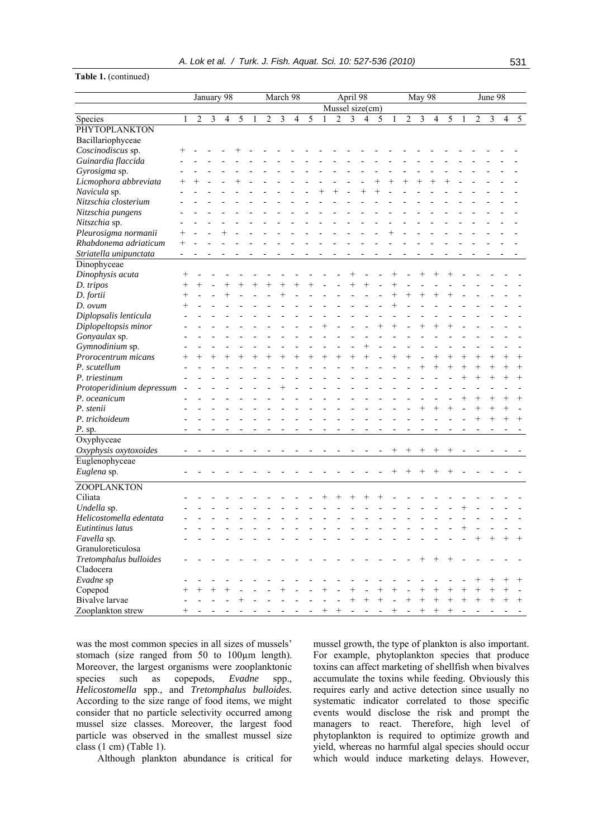# **Table 1.** (continued)

|                           |                | January 98<br>March 98 |   |                |   |   |                 | April 98                |                |           |  |                |   |   | May 98 |              |                |                         |                |  |           | June 98 |                |                         |                |                |
|---------------------------|----------------|------------------------|---|----------------|---|---|-----------------|-------------------------|----------------|-----------|--|----------------|---|---|--------|--------------|----------------|-------------------------|----------------|--|-----------|---------|----------------|-------------------------|----------------|----------------|
|                           |                |                        |   |                |   |   | Mussel size(cm) |                         |                |           |  |                |   |   |        |              |                |                         |                |  |           |         |                |                         |                |                |
| Species                   | 1              | $\overline{2}$         | 3 | $\overline{4}$ | 5 | 1 | $\overline{2}$  | $\overline{\mathbf{3}}$ | $\overline{4}$ | 5         |  | $\overline{c}$ | 3 | 4 | 5      | $\mathbf{1}$ | $\overline{2}$ | $\overline{\mathbf{3}}$ | $\overline{4}$ |  | 5         | 1       | $\overline{2}$ | $\overline{\mathbf{3}}$ | $\overline{4}$ | $\overline{5}$ |
| PHYTOPLANKTON             |                |                        |   |                |   |   |                 |                         |                |           |  |                |   |   |        |              |                |                         |                |  |           |         |                |                         |                |                |
| Bacillariophyceae         |                |                        |   |                |   |   |                 |                         |                |           |  |                |   |   |        |              |                |                         |                |  |           |         |                |                         |                |                |
| Coscinodiscus sp.         | $^{+}$         |                        |   |                |   |   |                 |                         |                |           |  |                |   |   |        |              |                |                         |                |  |           |         |                |                         |                |                |
| Guinardia flaccida        |                |                        |   |                |   |   |                 |                         |                |           |  |                |   |   |        |              |                |                         |                |  |           |         |                |                         |                |                |
| Gyrosigma sp.             |                |                        |   |                |   |   |                 |                         |                |           |  |                |   |   |        |              |                |                         |                |  |           |         |                |                         |                |                |
| Licmophora abbreviata     |                |                        |   |                |   |   |                 |                         |                |           |  |                |   |   |        |              |                |                         |                |  |           |         |                |                         |                |                |
| Navicula sp.              |                |                        |   |                |   |   |                 |                         |                |           |  |                |   |   |        |              |                |                         |                |  |           |         |                |                         |                |                |
| Nitzschia closterium      |                |                        |   |                |   |   |                 |                         |                |           |  |                |   |   |        |              |                |                         |                |  |           |         |                |                         |                |                |
| Nitzschia pungens         |                |                        |   |                |   |   |                 |                         |                |           |  |                |   |   |        |              |                |                         |                |  |           |         |                |                         |                |                |
| Nitszchia sp.             |                |                        |   |                |   |   |                 |                         |                |           |  |                |   |   |        |              |                |                         |                |  |           |         |                |                         |                |                |
| Pleurosigma normanii      | $\overline{+}$ |                        |   |                |   |   |                 |                         |                |           |  |                |   |   |        |              |                |                         |                |  |           |         |                |                         |                |                |
| Rhabdonema adriaticum     | $\ddot{}$      |                        |   |                |   |   |                 |                         |                |           |  |                |   |   |        |              |                |                         |                |  |           |         |                |                         |                |                |
| Striatella unipunctata    |                |                        |   |                |   |   |                 |                         |                |           |  |                |   |   |        |              |                |                         |                |  |           |         |                |                         |                |                |
| Dinophyceae               |                |                        |   |                |   |   |                 |                         |                |           |  |                |   |   |        |              |                |                         |                |  |           |         |                |                         |                |                |
| Dinophysis acuta          | $^{+}$         |                        |   |                |   |   |                 |                         |                |           |  |                |   |   |        |              |                |                         |                |  |           |         |                |                         |                |                |
| D. tripos                 |                |                        |   |                |   |   | $\ddot{}$       |                         |                |           |  |                |   |   |        |              |                |                         |                |  |           |         |                |                         |                |                |
| D. fortii                 | $^{+}$         |                        |   |                |   |   |                 |                         |                |           |  |                |   |   |        | $^{+}$       | $^{+}$         |                         |                |  |           |         |                |                         |                |                |
| D. ovum                   |                |                        |   |                |   |   |                 |                         |                |           |  |                |   |   |        |              |                |                         |                |  |           |         |                |                         |                |                |
| Diplopsalis lenticula     |                |                        |   |                |   |   |                 |                         |                |           |  |                |   |   |        |              |                |                         |                |  |           |         |                |                         |                |                |
| Diplopeltopsis minor      |                |                        |   |                |   |   |                 |                         |                |           |  |                |   |   |        |              |                |                         |                |  |           |         |                |                         |                |                |
| Gonyaulax sp.             |                |                        |   |                |   |   |                 |                         |                |           |  |                |   |   |        |              |                |                         |                |  |           |         |                |                         |                |                |
| Gymnodinium sp.           |                |                        |   |                |   |   |                 |                         |                |           |  |                |   |   |        |              |                |                         |                |  |           |         |                |                         |                |                |
| Prorocentrum micans       |                |                        |   | $\ddot{}$      |   |   | $\ddot{}$       |                         | $\ddot{}$      | $\ddot{}$ |  |                |   |   |        |              | $\ddot{}$      |                         |                |  | $\ddot{}$ |         | $\ddot{}$      | $\ddot{}$               |                |                |
| P. scutellum              |                |                        |   |                |   |   |                 |                         |                |           |  |                |   |   |        |              |                |                         | $^{+}$         |  | $^{+}$    | $^{+}$  | $^{+}$         | $^{+}$                  | $^{+}$         | $^{+}$         |
| P. triestinum             |                |                        |   |                |   |   |                 |                         |                |           |  |                |   |   |        |              |                |                         |                |  |           |         | $^{+}$         | $^{+}$                  | $\ddot{}$      | $^{+}$         |
| Protoperidinium depressum |                |                        |   |                |   |   |                 |                         |                |           |  |                |   |   |        |              |                |                         |                |  |           |         |                |                         |                |                |
| P. oceanicum              |                |                        |   |                |   |   |                 |                         |                |           |  |                |   |   |        |              |                |                         |                |  |           |         |                |                         |                |                |
| P. stenii                 |                |                        |   |                |   |   |                 |                         |                |           |  |                |   |   |        |              |                |                         |                |  |           |         |                |                         |                |                |
| P. trichoideum            |                |                        |   |                |   |   |                 |                         |                |           |  |                |   |   |        |              |                |                         |                |  |           |         |                |                         |                |                |
| $P.$ sp.                  |                |                        |   |                |   |   |                 |                         |                |           |  |                |   |   |        |              |                |                         |                |  |           |         |                |                         |                |                |
| Oxyphyceae                |                |                        |   |                |   |   |                 |                         |                |           |  |                |   |   |        |              |                |                         |                |  |           |         |                |                         |                |                |
| Oxyphysis oxytoxoides     |                |                        |   |                |   |   |                 |                         |                |           |  |                |   |   |        | $^{+}$       | $^{+}$         | $^+$                    | $^+$           |  | $^{+}$    |         |                |                         |                |                |
| Euglenophyceae            |                |                        |   |                |   |   |                 |                         |                |           |  |                |   |   |        |              |                |                         |                |  |           |         |                |                         |                |                |
| Euglena sp.               |                |                        |   |                |   |   |                 |                         |                |           |  |                |   |   |        |              |                |                         |                |  |           |         |                |                         |                |                |
|                           |                |                        |   |                |   |   |                 |                         |                |           |  |                |   |   |        |              |                |                         |                |  |           |         |                |                         |                |                |
| <b>ZOOPLANKTON</b>        |                |                        |   |                |   |   |                 |                         |                |           |  |                |   |   |        |              |                |                         |                |  |           |         |                |                         |                |                |
| Ciliata                   |                |                        |   |                |   |   |                 |                         |                |           |  |                |   |   |        |              |                |                         |                |  |           |         |                |                         |                |                |
| Undella sp.               |                |                        |   |                |   |   |                 |                         |                |           |  |                |   |   |        |              |                |                         |                |  |           |         |                |                         |                |                |
| Helicostomella edentata   |                |                        |   |                |   |   |                 |                         |                |           |  |                |   |   |        |              |                |                         |                |  |           |         |                |                         |                |                |
| Eutintinus latus          |                |                        |   |                |   |   |                 |                         |                |           |  |                |   |   |        |              |                |                         |                |  |           |         |                |                         |                |                |
| <i>Favella</i> sp.        |                |                        |   |                |   |   |                 |                         |                |           |  |                |   |   |        |              |                |                         |                |  |           |         |                |                         |                |                |
| Granuloreticulosa         |                |                        |   |                |   |   |                 |                         |                |           |  |                |   |   |        |              |                |                         |                |  |           |         |                |                         |                |                |
| Tretomphalus bulloides    |                |                        |   |                |   |   |                 |                         |                |           |  |                |   |   |        |              |                |                         |                |  |           |         |                |                         |                |                |
| Cladocera                 |                |                        |   |                |   |   |                 |                         |                |           |  |                |   |   |        |              |                |                         |                |  |           |         |                |                         |                |                |
| Evadne sp                 |                |                        |   |                |   |   |                 |                         |                |           |  |                |   |   |        |              |                |                         |                |  |           |         |                |                         |                |                |
| Copepod                   |                |                        |   |                |   |   |                 |                         |                |           |  |                |   |   |        |              |                |                         |                |  | ┷         |         |                |                         |                |                |
| <b>Bivalve</b> larvae     |                |                        |   |                |   |   |                 |                         |                |           |  |                |   |   |        |              |                |                         |                |  | $^{+}$    |         |                |                         | $^{+}$         | $^{+}$         |
| Zooplankton strew         | $^+$           |                        |   |                |   |   |                 |                         |                |           |  |                |   |   |        |              |                |                         |                |  |           |         |                |                         |                |                |

was the most common species in all sizes of mussels' stomach (size ranged from 50 to 100µm length). Moreover, the largest organisms were zooplanktonic species such as copepods, *Evadne* spp.*, Helicostomella* spp., and *Tretomphalus bulloides.* According to the size range of food items, we might consider that no particle selectivity occurred among mussel size classes. Moreover, the largest food particle was observed in the smallest mussel size class (1 cm) (Table 1).

Although plankton abundance is critical for

mussel growth, the type of plankton is also important. For example, phytoplankton species that produce toxins can affect marketing of shellfish when bivalves accumulate the toxins while feeding. Obviously this requires early and active detection since usually no systematic indicator correlated to those specific events would disclose the risk and prompt the managers to react. Therefore, high level of phytoplankton is required to optimize growth and yield, whereas no harmful algal species should occur which would induce marketing delays. However,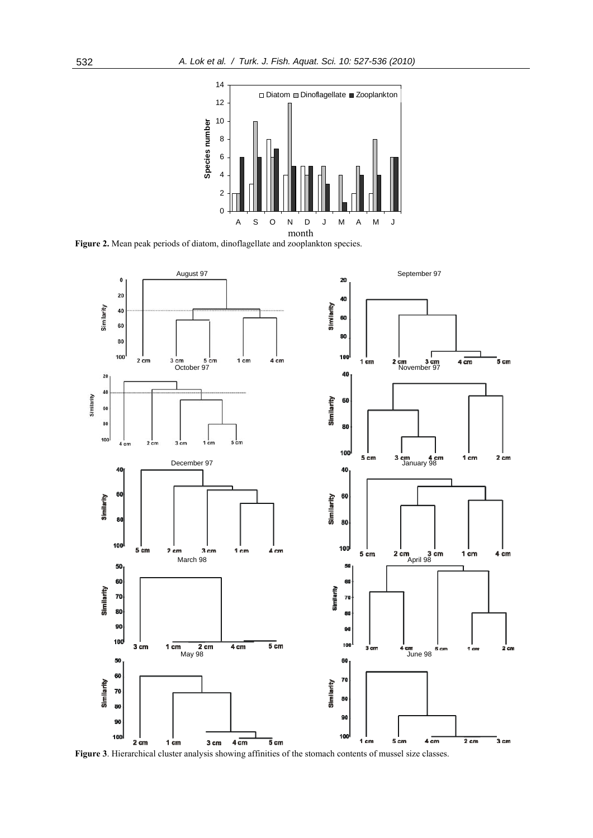

**Figure 2.** Mean peak periods of diatom, dinoflagellate and zooplankton species.



**Figure 3**. Hierarchical cluster analysis showing affinities of the stomach contents of mussel size classes.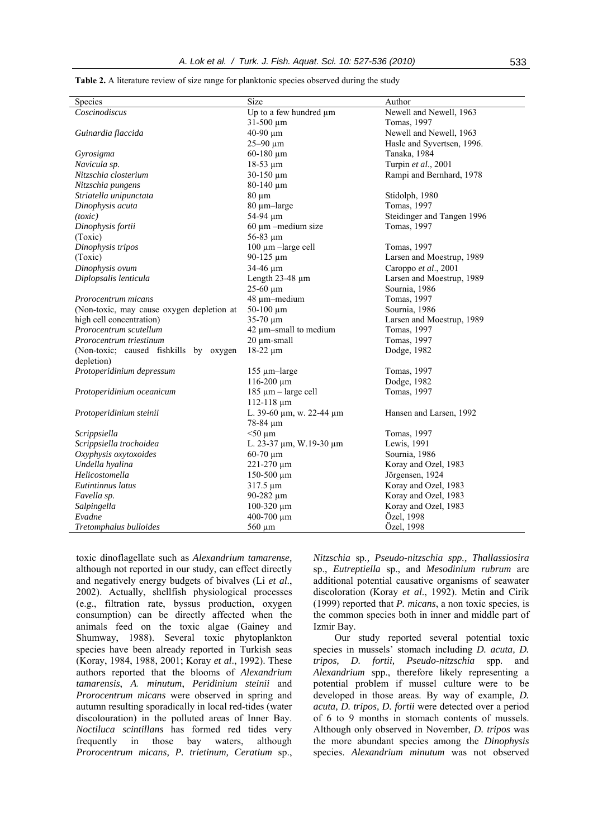Table 2. A literature review of size range for planktonic species observed during the study

| Species                                   | Size                     | Author                     |
|-------------------------------------------|--------------------------|----------------------------|
| Coscinodiscus                             | Up to a few hundred µm   | Newell and Newell, 1963    |
|                                           | 31-500 µm                | Tomas, 1997                |
| Guinardia flaccida                        | 40-90 μm                 | Newell and Newell, 1963    |
|                                           | $25 - 90 \mu m$          | Hasle and Syvertsen, 1996. |
| Gyrosigma                                 | $60-180 \mu m$           | Tanaka, 1984               |
| Navicula sp.                              | $18-53 \mu m$            | Turpin et al., 2001        |
| Nitzschia closterium                      | 30-150 µm                | Rampi and Bernhard, 1978   |
| Nitzschia pungens                         | 80-140 μm                |                            |
| Striatella unipunctata                    | $80 \mu m$               | Stidolph, 1980             |
| Dinophysis acuta                          | 80 µm-large              | Tomas, 1997                |
| (toxic)                                   | 54-94 µm                 | Steidinger and Tangen 1996 |
| Dinophysis fortii                         | $60 \mu m$ -medium size  | Tomas, 1997                |
| (Toxic)                                   | $56 - 83 \mu m$          |                            |
| Dinophysis tripos                         | 100 µm -large cell       | Tomas, 1997                |
| (Toxic)                                   | 90-125 μm                | Larsen and Moestrup, 1989  |
| Dinophysis ovum                           | 34-46 um                 | Caroppo et al., 2001       |
| Diplopsalis lenticula                     | Length $23-48 \mu m$     | Larsen and Moestrup, 1989  |
|                                           | 25-60 µm                 | Sournia, 1986              |
| Prorocentrum micans                       | 48 µm-medium             | Tomas, 1997                |
| (Non-toxic, may cause oxygen depletion at | 50-100 μm                | Sournia, 1986              |
| high cell concentration)                  | $35-70 \mu m$            | Larsen and Moestrup, 1989  |
| Prorocentrum scutellum                    | 42 µm-small to medium    | Tomas, 1997                |
| Prorocentrum triestinum                   | $20 \mu m$ -small        | Tomas, 1997                |
| (Non-toxic; caused fishkills by oxygen    | 18-22 μm                 | Dodge, 1982                |
| depletion)                                |                          |                            |
| Protoperidinium depressum                 | $155 \mu m$ -large       | Tomas, 1997                |
|                                           | 116-200 μm               | Dodge, 1982                |
| Protoperidinium oceanicum                 | $185 \mu m - large$ cell | Tomas, 1997                |
|                                           | 112-118 μm               |                            |
| Protoperidinium steinii                   | L. 39-60 µm, w. 22-44 µm | Hansen and Larsen, 1992    |
|                                           | 78-84 µm                 |                            |
| Scrippsiella                              | $<$ 50 µm                | Tomas, 1997                |
| Scrippsiella trochoidea                   | L. 23-37 µm, W.19-30 µm  | Lewis, 1991                |
| Oxyphysis oxytoxoides                     | $60-70 \mu m$            | Sournia, 1986              |
| Undella hyalina                           | 221-270 µm               | Koray and Ozel, 1983       |
| Helicostomella                            | $150-500 \mu m$          | Jörgensen, 1924            |
| Eutintinnus latus                         | 317.5 µm                 | Koray and Ozel, 1983       |
| Favella sp.                               | 90-282 μm                | Koray and Ozel, 1983       |
| Salpingella                               | 100-320 μm               | Koray and Ozel, 1983       |
| Evadne                                    | 400-700 μm               | Özel, 1998                 |
| Tretomphalus bulloides                    | $560 \mu m$              | Özel, 1998                 |

toxic dinoflagellate such as *Alexandrium tamarense,* although not reported in our study, can effect directly and negatively energy budgets of bivalves (Li *et al*., 2002). Actually, shellfish physiological processes (e.g., filtration rate, byssus production, oxygen consumption) can be directly affected when the animals feed on the toxic algae (Gainey and Shumway, 1988). Several toxic phytoplankton species have been already reported in Turkish seas (Koray, 1984, 1988, 2001; Koray *et al*., 1992). These authors reported that the blooms of *Alexandrium tamarensis*, *A. minutum*, *Peridinium steinii* and *Prorocentrum micans* were observed in spring and autumn resulting sporadically in local red-tides (water discolouration) in the polluted areas of Inner Bay. *Noctiluca scintillans* has formed red tides very frequently in those bay waters, although *Prorocentrum micans, P. trietinum, Ceratium* sp., *Nitzschia* sp*., Pseudo-nitzschia spp., Thallassiosira* sp., *Eutreptiella* sp., and *Mesodinium rubrum* are additional potential causative organisms of seawater discoloration (Koray *et al*., 1992). Metin and Cirik (1999) reported that *P. micans*, a non toxic species, is the common species both in inner and middle part of Izmir Bay.

Our study reported several potential toxic species in mussels' stomach including *D. acuta, D. tripos, D. fortii, Pseudo-nitzschia* spp*.* and *Alexandrium* spp., therefore likely representing a potential problem if mussel culture were to be developed in those areas. By way of example, *D. acuta, D. tripos, D. fortii* were detected over a period of 6 to 9 months in stomach contents of mussels. Although only observed in November, *D. tripos* was the more abundant species among the *Dinophysis* species. *Alexandrium minutum* was not observed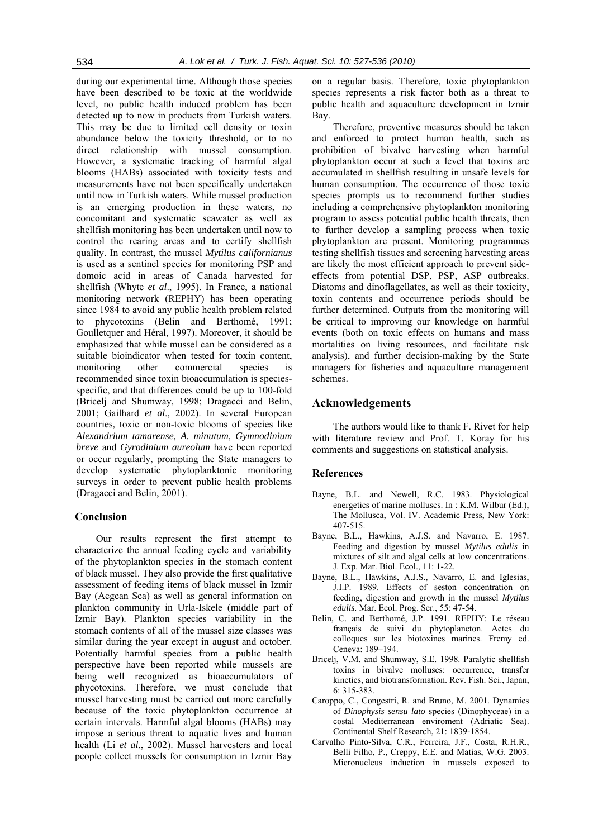during our experimental time. Although those species have been described to be toxic at the worldwide level, no public health induced problem has been detected up to now in products from Turkish waters. This may be due to limited cell density or toxin abundance below the toxicity threshold, or to no direct relationship with mussel consumption. However, a systematic tracking of harmful algal blooms (HABs) associated with toxicity tests and measurements have not been specifically undertaken until now in Turkish waters. While mussel production is an emerging production in these waters, no concomitant and systematic seawater as well as shellfish monitoring has been undertaken until now to control the rearing areas and to certify shellfish quality. In contrast, the mussel *Mytilus californianus* is used as a sentinel species for monitoring PSP and domoic acid in areas of Canada harvested for shellfish (Whyte *et al*., 1995). In France, a national monitoring network (REPHY) has been operating since 1984 to avoid any public health problem related to phycotoxins (Belin and Berthomé, 1991; Goulletquer and Héral, 1997). Moreover, it should be emphasized that while mussel can be considered as a suitable bioindicator when tested for toxin content, monitoring other commercial species is recommended since toxin bioaccumulation is speciesspecific, and that differences could be up to 100-fold (Bricelj and Shumway, 1998; Dragacci and Belin, 2001; Gailhard *et al*., 2002). In several European countries, toxic or non-toxic blooms of species like *Alexandrium tamarense, A. minutum, Gymnodinium breve* and *Gyrodinium aureolum* have been reported or occur regularly, prompting the State managers to develop systematic phytoplanktonic monitoring surveys in order to prevent public health problems (Dragacci and Belin, 2001).

### **Conclusion**

Our results represent the first attempt to characterize the annual feeding cycle and variability of the phytoplankton species in the stomach content of black mussel. They also provide the first qualitative assessment of feeding items of black mussel in Izmir Bay (Aegean Sea) as well as general information on plankton community in Urla-Iskele (middle part of Izmir Bay). Plankton species variability in the stomach contents of all of the mussel size classes was similar during the year except in august and october. Potentially harmful species from a public health perspective have been reported while mussels are being well recognized as bioaccumulators of phycotoxins. Therefore, we must conclude that mussel harvesting must be carried out more carefully because of the toxic phytoplankton occurrence at certain intervals. Harmful algal blooms (HABs) may impose a serious threat to aquatic lives and human health (Li *et al*., 2002). Mussel harvesters and local people collect mussels for consumption in Izmir Bay

on a regular basis. Therefore, toxic phytoplankton species represents a risk factor both as a threat to public health and aquaculture development in Izmir Bay.

Therefore, preventive measures should be taken and enforced to protect human health, such as prohibition of bivalve harvesting when harmful phytoplankton occur at such a level that toxins are accumulated in shellfish resulting in unsafe levels for human consumption. The occurrence of those toxic species prompts us to recommend further studies including a comprehensive phytoplankton monitoring program to assess potential public health threats, then to further develop a sampling process when toxic phytoplankton are present. Monitoring programmes testing shellfish tissues and screening harvesting areas are likely the most efficient approach to prevent sideeffects from potential DSP, PSP, ASP outbreaks. Diatoms and dinoflagellates, as well as their toxicity, toxin contents and occurrence periods should be further determined. Outputs from the monitoring will be critical to improving our knowledge on harmful events (both on toxic effects on humans and mass mortalities on living resources, and facilitate risk analysis), and further decision-making by the State managers for fisheries and aquaculture management schemes.

# **Acknowledgements**

The authors would like to thank F. Rivet for help with literature review and Prof. T. Koray for his comments and suggestions on statistical analysis.

#### **References**

- Bayne, B.L. and Newell, R.C. 1983. Physiological energetics of marine molluscs. In : K.M. Wilbur (Ed.), The Mollusca, Vol. IV. Academic Press, New York: 407-515.
- Bayne, B.L., Hawkins, A.J.S. and Navarro, E. 1987. Feeding and digestion by mussel *Mytilus edulis* in mixtures of silt and algal cells at low concentrations. J. Exp. Mar. Biol. Ecol., 11: 1-22.
- Bayne, B.L., Hawkins, A.J.S., Navarro, E. and Iglesias, J.I.P. 1989. Effects of seston concentration on feeding, digestion and growth in the mussel *Mytilus edulis*. Mar. Ecol. Prog. Ser., 55: 47-54.
- Belin, C. and Berthomé, J.P. 1991. REPHY: Le réseau français de suivi du phytoplancton. Actes du colloques sur les biotoxines marines. Fremy ed. Ceneva: 189–194.
- Bricelj, V.M. and Shumway, S.E. 1998. Paralytic shellfish toxins in bivalve molluscs: occurrence, transfer kinetics, and biotransformation. Rev. Fish. Sci., Japan, 6: 315-383.
- Caroppo, C., Congestri, R. and Bruno, M. 2001. Dynamics of *Dinophysis sensu lato* species (Dinophyceae) in a costal Mediterranean enviroment (Adriatic Sea). Continental Shelf Research, 21: 1839-1854.
- Carvalho Pinto-Silva, C.R., Ferreira, J.F., Costa, R.H.R., Belli Filho, P., Creppy, E.E. and Matias, W.G. 2003. Micronucleus induction in mussels exposed to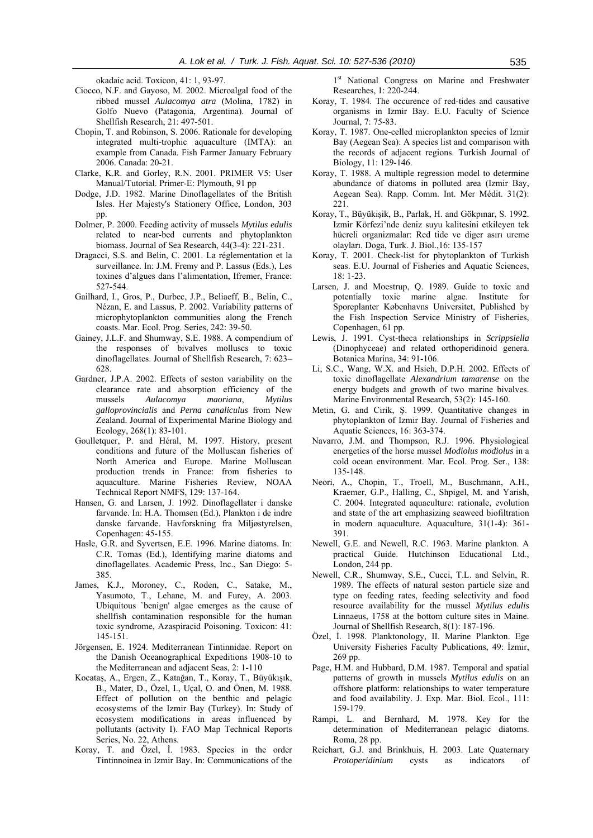okadaic acid. Toxicon, 41: 1, 93-97.

- Ciocco, N.F. and Gayoso, M. 2002. Microalgal food of the ribbed mussel *Aulacomya atra* (Molina, 1782) in Golfo Nuevo (Patagonia, Argentina). Journal of Shellfish Research, 21: 497-501.
- Chopin, T. and Robinson, S. 2006. Rationale for developing integrated multi-trophic aquaculture (IMTA): an example from Canada. Fish Farmer January February 2006. Canada: 20-21.
- Clarke, K.R. and Gorley, R.N. 2001. PRIMER V5: User Manual/Tutorial. Primer-E: Plymouth, 91 pp
- Dodge, J.D. 1982. Marine Dinoflagellates of the British Isles. Her Majesty's Stationery Office, London, 303 pp.
- Dolmer, P. 2000. Feeding activity of mussels *Mytilus edulis* related to near-bed currents and phytoplankton biomass. Journal of Sea Research, 44(3-4): 221-231.
- Dragacci, S.S. and Belin, C. 2001. La réglementation et la surveillance. In: J.M. Fremy and P. Lassus (Eds.), Les toxines d'algues dans l'alimentation, Ifremer, France: 527-544.
- Gailhard, I., Gros, P., Durbec, J.P., Beliaeff, B., Belin, C., Nézan, E. and Lassus, P. 2002. Variability patterns of microphytoplankton communities along the French coasts. Mar. Ecol. Prog. Series, 242: 39-50.
- Gainey, J.L.F. and Shumway, S.E. 1988. A compendium of the responses of bivalves molluscs to toxic dinoflagellates. Journal of Shellfish Research, 7: 623– 628.
- Gardner, J.P.A. 2002. Effects of seston variability on the clearance rate and absorption efficiency of the mussels *Aulacomya maoriana*, *Mytilus galloprovincialis* and *Perna canaliculus* from New Zealand. Journal of Experimental Marine Biology and Ecology, 268(1): 83-101.
- Goulletquer, P. and Héral, M. 1997. History, present conditions and future of the Molluscan fisheries of North America and Europe. Marine Molluscan production trends in France: from fisheries to aquaculture. Marine Fisheries Review, NOAA Technical Report NMFS, 129: 137-164.
- Hansen, G. and Larsen, J. 1992. Dinoflagellater i danske farvande. In: H.A. Thomsen (Ed.), Plankton i de indre danske farvande. Havforskning fra Miljøstyrelsen, Copenhagen: 45-155.
- Hasle, G.R. and Syvertsen, E.E. 1996. Marine diatoms. In: C.R. Tomas (Ed.), Identifying marine diatoms and dinoflagellates. Academic Press, Inc., San Diego: 5- 385.
- James, K.J., Moroney, C., Roden, C., Satake, M., Yasumoto, T., Lehane, M. and Furey, A. 2003. Ubiquitous `benign' algae emerges as the cause of shellfish contamination responsible for the human toxic syndrome, Azaspiracid Poisoning. Toxicon: 41: 145-151.
- Jörgensen, E. 1924. Mediterranean Tintinnidae. Report on the Danish Oceanographical Expeditions 1908-10 to the Mediterranean and adjacent Seas, 2: 1-110
- Kocataş, A., Ergen, Z., Katağan, T., Koray, T., Büyükışık, B., Mater, D., Özel, I., Uçal, O. and Önen, M. 1988. Effect of pollution on the benthic and pelagic ecosystems of the Izmir Bay (Turkey). In: Study of ecosystem modifications in areas influenced by pollutants (activity I). FAO Map Technical Reports Series, No. 22, Athens.
- Koray, T. and Özel, İ. 1983. Species in the order Tintinnoinea in Izmir Bay. In: Communications of the

1<sup>st</sup> National Congress on Marine and Freshwater Researches, 1: 220-244.

- Koray, T. 1984. The occurence of red-tides and causative organisms in Izmir Bay. E.U. Faculty of Science Journal, 7: 75-83.
- Koray, T. 1987. One-celled microplankton species of Izmir Bay (Aegean Sea): A species list and comparison with the records of adjacent regions. Turkish Journal of Biology, 11: 129-146.
- Koray, T. 1988. A multiple regression model to determine abundance of diatoms in polluted area (Izmir Bay, Aegean Sea). Rapp. Comm. Int. Mer Médit. 31(2): 221.
- Koray, T., Büyükişik, B., Parlak, H. and Gökpınar, S. 1992. Izmir Körfezi'nde deniz suyu kalitesini etkileyen tek hücreli organizmalar: Red tide ve diger asırı ureme olayları. Doga, Turk. J. Biol.,16: 135-157
- Koray, T. 2001. Check-list for phytoplankton of Turkish seas. E.U. Journal of Fisheries and Aquatic Sciences, 18: 1-23.
- Larsen, J. and Moestrup, Q. 1989. Guide to toxic and potentially toxic marine algae. Institute for Sporeplanter Københavns Universitet, Published by the Fish Inspection Service Ministry of Fisheries, Copenhagen, 61 pp.
- Lewis, J. 1991. Cyst-theca relationships in *Scrippsiella* (Dinophyceae) and related orthoperidinoid genera. Botanica Marina, 34: 91-106.
- Li, S.C., Wang, W.X. and Hsieh, D.P.H. 2002. Effects of toxic dinoflagellate *Alexandrium tamarense* on the energy budgets and growth of two marine bivalves. Marine Environmental Research, 53(2): 145-160.
- Metin, G. and Cirik, Ş. 1999. Quantitative changes in phytoplankton of Izmir Bay. Journal of Fisheries and Aquatic Sciences, 16: 363-374.
- Navarro, J.M. and Thompson, R.J. 1996. Physiological energetics of the horse mussel *Modiolus modiolus* in a cold ocean environment. Mar. Ecol. Prog. Ser., 138: 135-148.
- Neori, A., Chopin, T., Troell, M., Buschmann, A.H., Kraemer, G.P., Halling, C., Shpigel, M. and Yarish, C. 2004. Integrated aquaculture: rationale, evolution and state of the art emphasizing seaweed biofiltration in modern aquaculture. Aquaculture, 31(1-4): 361- 391.
- Newell, G.E. and Newell, R.C. 1963. Marine plankton. A practical Guide. Hutchinson Educational Ltd., London, 244 pp.
- Newell, C.R., Shumway, S.E., Cucci, T.L. and Selvin, R. 1989. The effects of natural seston particle size and type on feeding rates, feeding selectivity and food resource availability for the mussel *Mytilus edulis* Linnaeus, 1758 at the bottom culture sites in Maine. Journal of Shellfish Research, 8(1): 187-196.
- Özel, İ. 1998. Planktonology, II. Marine Plankton. Ege University Fisheries Faculty Publications, 49: İzmir, 269 pp.
- Page, H.M. and Hubbard, D.M. 1987. Temporal and spatial patterns of growth in mussels *Mytilus edulis* on an offshore platform: relationships to water temperature and food availability. J. Exp. Mar. Biol. Ecol., 111: 159-179.
- Rampi, L. and Bernhard, M. 1978. Key for the determination of Mediterranean pelagic diatoms. Roma, 28 pp.
- Reichart, G.J. and Brinkhuis, H. 2003. Late Quaternary *Protoperidinium* cysts as indicators of